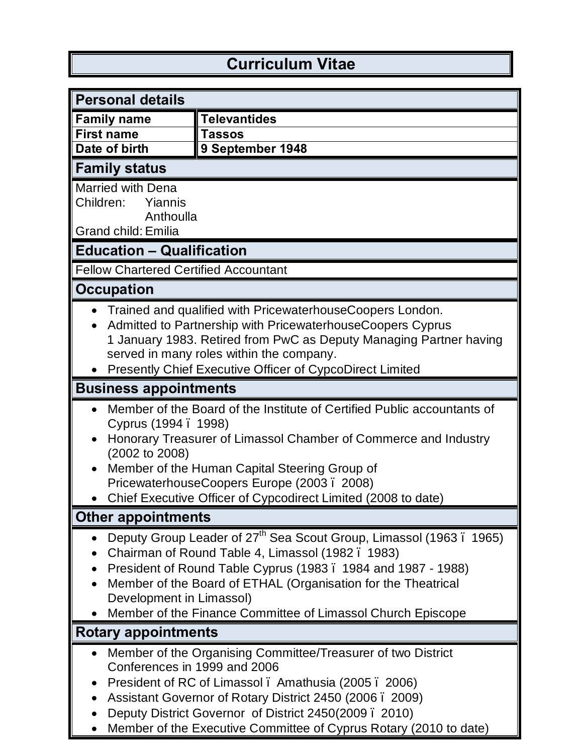## **Curriculum Vitae**

| <b>Personal details</b>                                                                                                                                                                                                                                                                                                                                        |                                                                                                                                                                                                                                                                                                               |  |
|----------------------------------------------------------------------------------------------------------------------------------------------------------------------------------------------------------------------------------------------------------------------------------------------------------------------------------------------------------------|---------------------------------------------------------------------------------------------------------------------------------------------------------------------------------------------------------------------------------------------------------------------------------------------------------------|--|
| <b>Family name</b>                                                                                                                                                                                                                                                                                                                                             | <b>Televantides</b>                                                                                                                                                                                                                                                                                           |  |
| <b>First name</b>                                                                                                                                                                                                                                                                                                                                              | <b>Tassos</b>                                                                                                                                                                                                                                                                                                 |  |
| Date of birth                                                                                                                                                                                                                                                                                                                                                  | 9 September 1948                                                                                                                                                                                                                                                                                              |  |
| <b>Family status</b>                                                                                                                                                                                                                                                                                                                                           |                                                                                                                                                                                                                                                                                                               |  |
| <b>Married with Dena</b><br>Children:<br>Yiannis<br>Anthoulla<br><b>Grand child: Emilia</b>                                                                                                                                                                                                                                                                    |                                                                                                                                                                                                                                                                                                               |  |
| <b>Education - Qualification</b>                                                                                                                                                                                                                                                                                                                               |                                                                                                                                                                                                                                                                                                               |  |
| <b>Fellow Chartered Certified Accountant</b>                                                                                                                                                                                                                                                                                                                   |                                                                                                                                                                                                                                                                                                               |  |
| <b>Occupation</b>                                                                                                                                                                                                                                                                                                                                              |                                                                                                                                                                                                                                                                                                               |  |
| Trained and qualified with PricewaterhouseCoopers London.<br>Admitted to Partnership with PricewaterhouseCoopers Cyprus<br>1 January 1983. Retired from PwC as Deputy Managing Partner having<br>served in many roles within the company.<br><b>Presently Chief Executive Officer of CypcoDirect Limited</b>                                                   |                                                                                                                                                                                                                                                                                                               |  |
| <b>Business appointments</b>                                                                                                                                                                                                                                                                                                                                   |                                                                                                                                                                                                                                                                                                               |  |
| Member of the Board of the Institute of Certified Public accountants of<br>Cyprus (1994 . 1998)<br>Honorary Treasurer of Limassol Chamber of Commerce and Industry<br>(2002 to 2008)<br>Member of the Human Capital Steering Group of<br>PricewaterhouseCoopers Europe (2003. 2008)<br>Chief Executive Officer of Cypcodirect Limited (2008 to date)           |                                                                                                                                                                                                                                                                                                               |  |
| <b>Other appointments</b>                                                                                                                                                                                                                                                                                                                                      |                                                                                                                                                                                                                                                                                                               |  |
| Deputy Group Leader of 27 <sup>th</sup> Sea Scout Group, Limassol (1963. 1965)<br>Chairman of Round Table 4, Limassol (1982. 1983)<br>President of Round Table Cyprus (1983. 1984 and 1987 - 1988)<br>Member of the Board of ETHAL (Organisation for the Theatrical<br>Development in Limassol)<br>Member of the Finance Committee of Limassol Church Episcope |                                                                                                                                                                                                                                                                                                               |  |
| Rotary appointments                                                                                                                                                                                                                                                                                                                                            |                                                                                                                                                                                                                                                                                                               |  |
| Conferences in 1999 and 2006                                                                                                                                                                                                                                                                                                                                   | Member of the Organising Committee/Treasurer of two District<br>President of RC of Limassol. Amathusia (2005. 2006)<br>Assistant Governor of Rotary District 2450 (2006 . 2009)<br>Deputy District Governor of District 2450(2009. 2010)<br>Member of the Executive Committee of Cyprus Rotary (2010 to date) |  |